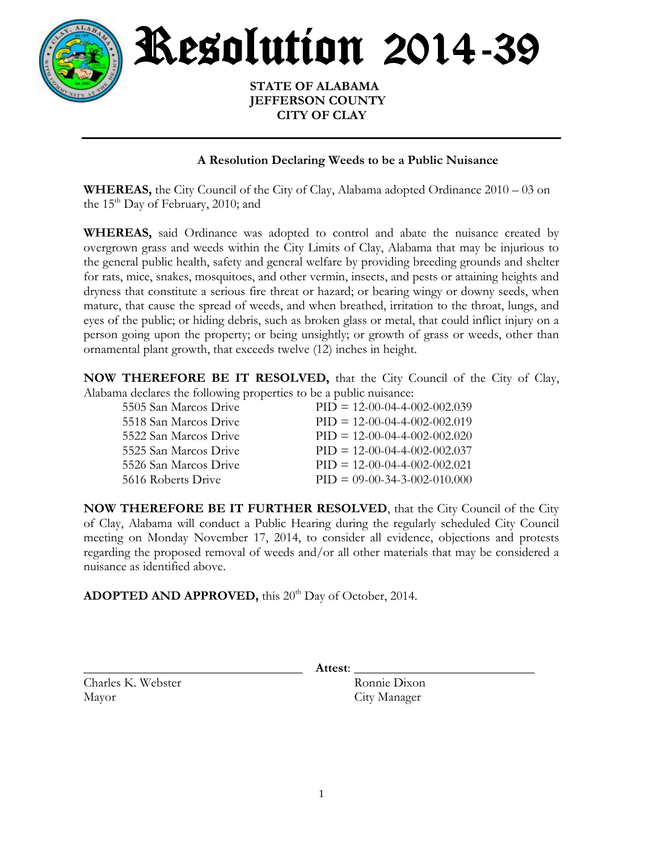

Resolution 2014-39

 **STATE OF ALABAMA JEFFERSON COUNTY CITY OF CLAY**

## **A Resolution Declaring Weeds to be a Public Nuisance**

**WHEREAS,** the City Council of the City of Clay, Alabama adopted Ordinance 2010 – 03 on the  $15<sup>th</sup>$  Day of February, 2010; and

**WHEREAS,** said Ordinance was adopted to control and abate the nuisance created by overgrown grass and weeds within the City Limits of Clay, Alabama that may be injurious to the general public health, safety and general welfare by providing breeding grounds and shelter for rats, mice, snakes, mosquitoes, and other vermin, insects, and pests or attaining heights and dryness that constitute a serious fire threat or hazard; or bearing wingy or downy seeds, when mature, that cause the spread of weeds, and when breathed, irritation to the throat, lungs, and eyes of the public; or hiding debris, such as broken glass or metal, that could inflict injury on a person going upon the property; or being unsightly; or growth of grass or weeds, other than ornamental plant growth, that exceeds twelve (12) inches in height.

**NOW THEREFORE BE IT RESOLVED,** that the City Council of the City of Clay, Alabama declares the following properties to be a public nuisance:

| 5505 San Marcos Drive | $PID = 12-00-04-4-002-002.039$ |
|-----------------------|--------------------------------|
| 5518 San Marcos Drive | $PID = 12-00-04-4-002-002.019$ |
| 5522 San Marcos Drive | $PID = 12-00-04-4-002-002.020$ |
| 5525 San Marcos Drive | $PID = 12-00-04-4-002-002.037$ |
| 5526 San Marcos Drive | $PID = 12-00-04-4-002-002.021$ |
| 5616 Roberts Drive    | $PID = 09-00-34-3-002-010.000$ |

**NOW THEREFORE BE IT FURTHER RESOLVED**, that the City Council of the City of Clay, Alabama will conduct a Public Hearing during the regularly scheduled City Council meeting on Monday November 17, 2014, to consider all evidence, objections and protests regarding the proposed removal of weeds and/or all other materials that may be considered a nuisance as identified above.

ADOPTED AND APPROVED, this 20<sup>th</sup> Day of October, 2014.

Charles K. Webster Ronnie Dixon Mayor City Manager

\_\_\_\_\_\_\_\_\_\_\_\_\_\_\_\_\_\_\_\_\_\_\_\_\_\_\_\_\_\_\_\_\_\_ **Attest**: \_\_\_\_\_\_\_\_\_\_\_\_\_\_\_\_\_\_\_\_\_\_\_\_\_\_\_\_